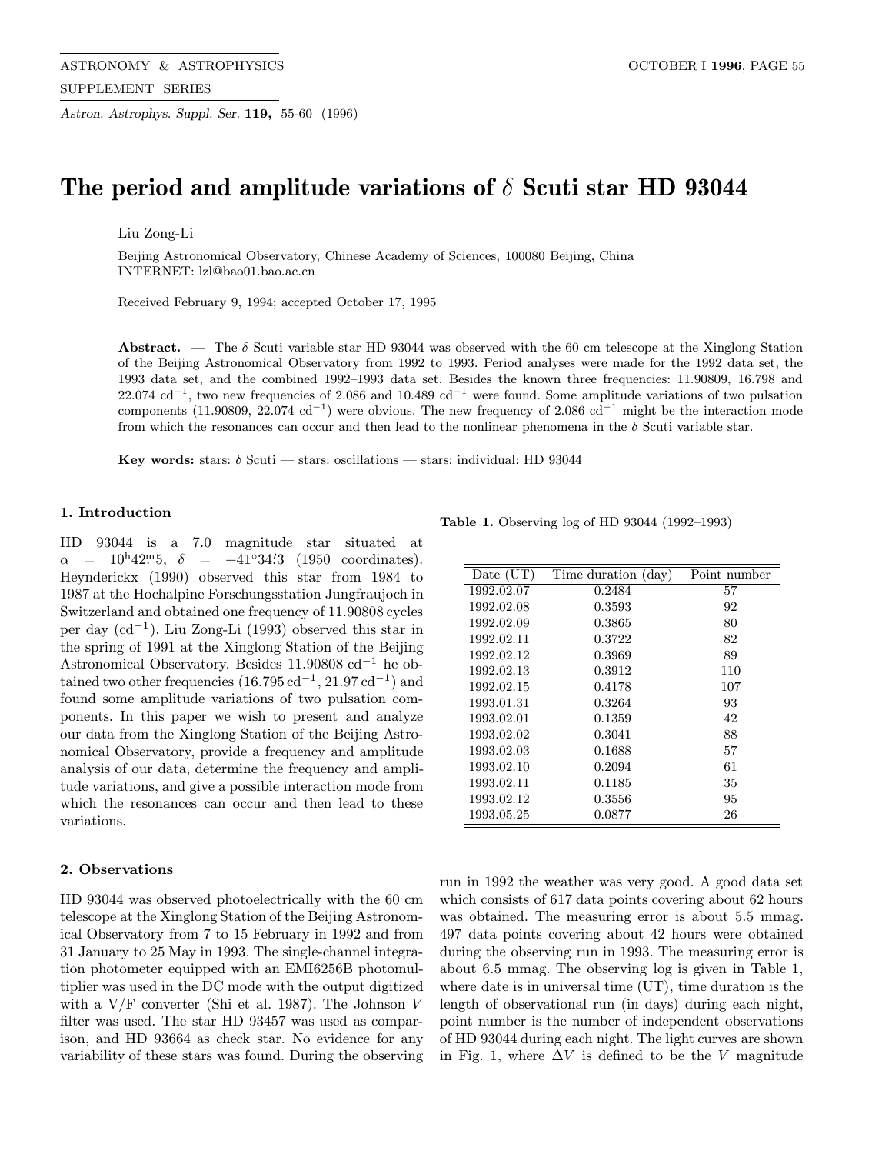ASTRONOMY & ASTROPHYSICS CONTROLLED BEING A SERIES OCTOBER I 1996, PAGE 55 SUPPLEMENT SERIES

Astron. Astrophys. Suppl. Ser. 119, 55-60 (1996)

# The period and amplitude variations of  $\delta$  Scuti star HD 93044

Liu Zong-Li

Beijing Astronomical Observatory, Chinese Academy of Sciences, 100080 Beijing, China INTERNET: lzl@bao01.bao.ac.cn

Received February 9, 1994; accepted October 17, 1995

Abstract. — The  $\delta$  Scuti variable star HD 93044 was observed with the 60 cm telescope at the Xinglong Station of the Beijing Astronomical Observatory from 1992 to 1993. Period analyses were made for the 1992 data set, the 1993 data set, and the combined 1992–1993 data set. Besides the known three frequencies: 11.90809, 16.798 and 22.074 cd<sup>-1</sup>, two new frequencies of 2.086 and 10.489 cd<sup>-1</sup> were found. Some amplitude variations of two pulsation components (11.90809, 22.074 cd<sup>-1</sup>) were obvious. The new frequency of 2.086 cd<sup>-1</sup> might be the interaction mode from which the resonances can occur and then lead to the nonlinear phenomena in the  $\delta$  Scuti variable star.

Key words: stars:  $\delta$  Scuti — stars: oscillations — stars: individual: HD 93044

#### 1. Introduction

HD 93044 is a 7.0 magnitude star situated at  $\alpha = 10^{\text{h}}42^{\text{m}}5$ ,  $\delta = +41°34'3$  (1950 coordinates). Heynderickx (1990) observed this star from 1984 to 1987 at the Hochalpine Forschungsstation Jungfraujoch in Switzerland and obtained one frequency of 11.90808 cycles per day (cd−<sup>1</sup>). Liu Zong-Li (1993) observed this star in the spring of 1991 at the Xinglong Station of the Beijing Astronomical Observatory. Besides 11.90808 cd−<sup>1</sup> he obtained two other frequencies  $(16.795 \text{ cd}^{-1}, 21.97 \text{ cd}^{-1})$  and found some amplitude variations of two pulsation components. In this paper we wish to present and analyze our data from the Xinglong Station of the Beijing Astronomical Observatory, provide a frequency and amplitude analysis of our data, determine the frequency and amplitude variations, and give a possible interaction mode from which the resonances can occur and then lead to these variations.

## 2. Observations

HD 93044 was observed photoelectrically with the 60 cm telescope at the Xinglong Station of the Beijing Astronomical Observatory from 7 to 15 February in 1992 and from 31 January to 25 May in 1993. The single-channel integration photometer equipped with an EMI6256B photomultiplier was used in the DC mode with the output digitized with a  $V/F$  converter (Shi et al. 1987). The Johnson V filter was used. The star HD 93457 was used as comparison, and HD 93664 as check star. No evidence for any variability of these stars was found. During the observing

Table 1. Observing log of HD 93044 (1992–1993)

| Date (UT)  | Time duration (day) | Point number |
|------------|---------------------|--------------|
| 1992.02.07 | 0.2484              | 57           |
| 1992.02.08 | 0.3593              | 92           |
| 1992.02.09 | 0.3865              | 80           |
| 1992.02.11 | 0.3722              | 82           |
| 1992.02.12 | 0.3969              | 89           |
| 1992.02.13 | 0.3912              | 110          |
| 1992.02.15 | 0.4178              | 107          |
| 1993.01.31 | 0.3264              | 93           |
| 1993.02.01 | 0.1359              | 42           |
| 1993.02.02 | 0.3041              | 88           |
| 1993.02.03 | 0.1688              | 57           |
| 1993.02.10 | 0.2094              | 61           |
| 1993.02.11 | 0.1185              | 35           |
| 1993.02.12 | 0.3556              | 95           |
| 1993.05.25 | 0.0877              | 26           |

run in 1992 the weather was very good. A good data set which consists of 617 data points covering about 62 hours was obtained. The measuring error is about 5.5 mmag. 497 data points covering about 42 hours were obtained during the observing run in 1993. The measuring error is about 6.5 mmag. The observing log is given in Table 1, where date is in universal time (UT), time duration is the length of observational run (in days) during each night, point number is the number of independent observations of HD 93044 during each night. The light curves are shown in Fig. 1, where  $\Delta V$  is defined to be the V magnitude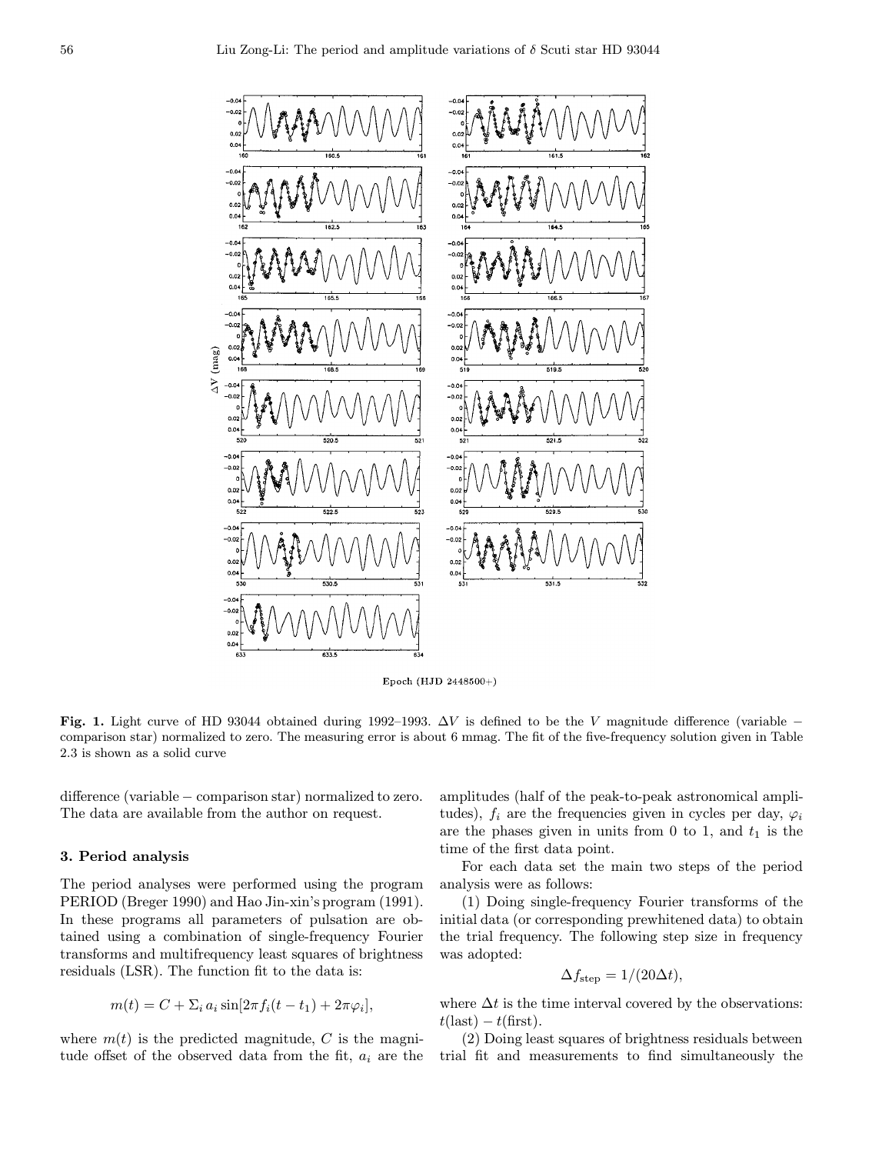

Epoch (HJD 2448500+)

Fig. 1. Light curve of HD 93044 obtained during 1992–1993.  $\Delta V$  is defined to be the V magnitude difference (variable – comparison star) normalized to zero. The measuring error is about 6 mmag. The fit of the five-frequency solution given in Table 2.3 is shown as a solid curve

difference (variable − comparison star) normalized to zero. The data are available from the author on request.

## 3. Period analysis

The period analyses were performed using the program PERIOD (Breger 1990) and Hao Jin-xin's program (1991). In these programs all parameters of pulsation are obtained using a combination of single-frequency Fourier transforms and multifrequency least squares of brightness residuals (LSR). The function fit to the data is:

$$
m(t) = C + \sum_i a_i \sin[2\pi f_i(t - t_1) + 2\pi \varphi_i],
$$

where  $m(t)$  is the predicted magnitude, C is the magnitude offset of the observed data from the fit,  $a_i$  are the amplitudes (half of the peak-to-peak astronomical amplitudes),  $f_i$  are the frequencies given in cycles per day,  $\varphi_i$ are the phases given in units from 0 to 1, and  $t_1$  is the time of the first data point.

For each data set the main two steps of the period analysis were as follows:

(1) Doing single-frequency Fourier transforms of the initial data (or corresponding prewhitened data) to obtain the trial frequency. The following step size in frequency was adopted:

$$
\Delta f_{\text{step}} = 1/(20\Delta t),
$$

where  $\Delta t$  is the time interval covered by the observations:  $t(\text{last}) - t(\text{first}).$ 

(2) Doing least squares of brightness residuals between trial fit and measurements to find simultaneously the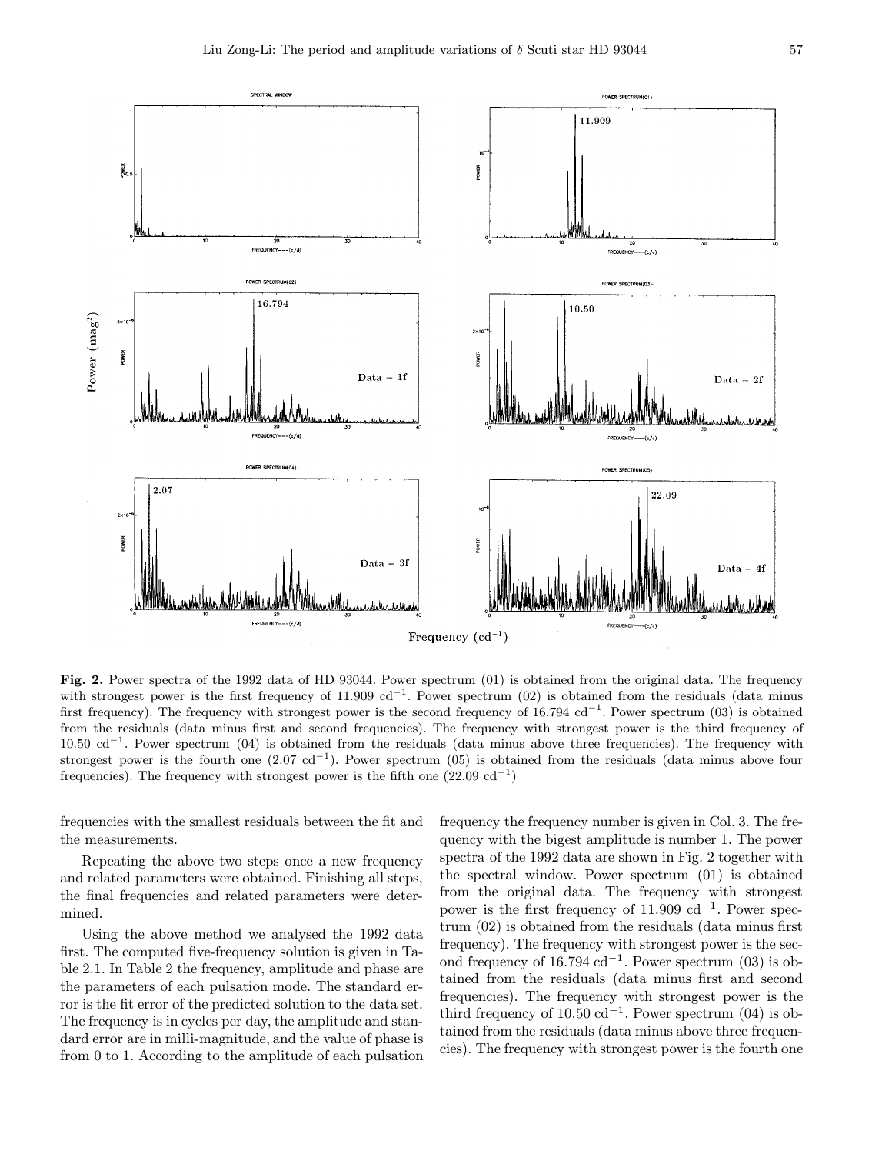

Fig. 2. Power spectra of the 1992 data of HD 93044. Power spectrum (01) is obtained from the original data. The frequency with strongest power is the first frequency of 11.909  $\text{cd}^{-1}$ . Power spectrum (02) is obtained from the residuals (data minus first frequency). The frequency with strongest power is the second frequency of  $16.794$  cd<sup>-1</sup>. Power spectrum (03) is obtained from the residuals (data minus first and second frequencies). The frequency with strongest power is the third frequency of  $10.50 \text{ cd}^{-1}$ . Power spectrum (04) is obtained from the residuals (data minus above three frequencies). The frequency with strongest power is the fourth one  $(2.07 \text{ cd}^{-1})$ . Power spectrum  $(05)$  is obtained from the residuals (data minus above four frequencies). The frequency with strongest power is the fifth one  $(22.09 \text{ cd}^{-1})$ 

frequencies with the smallest residuals between the fit and the measurements.

Repeating the above two steps once a new frequency and related parameters were obtained. Finishing all steps, the final frequencies and related parameters were determined.

Using the above method we analysed the 1992 data first. The computed five-frequency solution is given in Table 2.1. In Table 2 the frequency, amplitude and phase are the parameters of each pulsation mode. The standard error is the fit error of the predicted solution to the data set. The frequency is in cycles per day, the amplitude and standard error are in milli-magnitude, and the value of phase is from 0 to 1. According to the amplitude of each pulsation frequency the frequency number is given in Col. 3. The frequency with the bigest amplitude is number 1. The power spectra of the 1992 data are shown in Fig. 2 together with the spectral window. Power spectrum (01) is obtained from the original data. The frequency with strongest power is the first frequency of  $11.909$  cd<sup>-1</sup>. Power spectrum (02) is obtained from the residuals (data minus first frequency). The frequency with strongest power is the second frequency of 16.794 cd<sup>-1</sup>. Power spectrum (03) is obtained from the residuals (data minus first and second frequencies). The frequency with strongest power is the third frequency of 10.50 cd<sup>-1</sup>. Power spectrum (04) is obtained from the residuals (data minus above three frequencies). The frequency with strongest power is the fourth one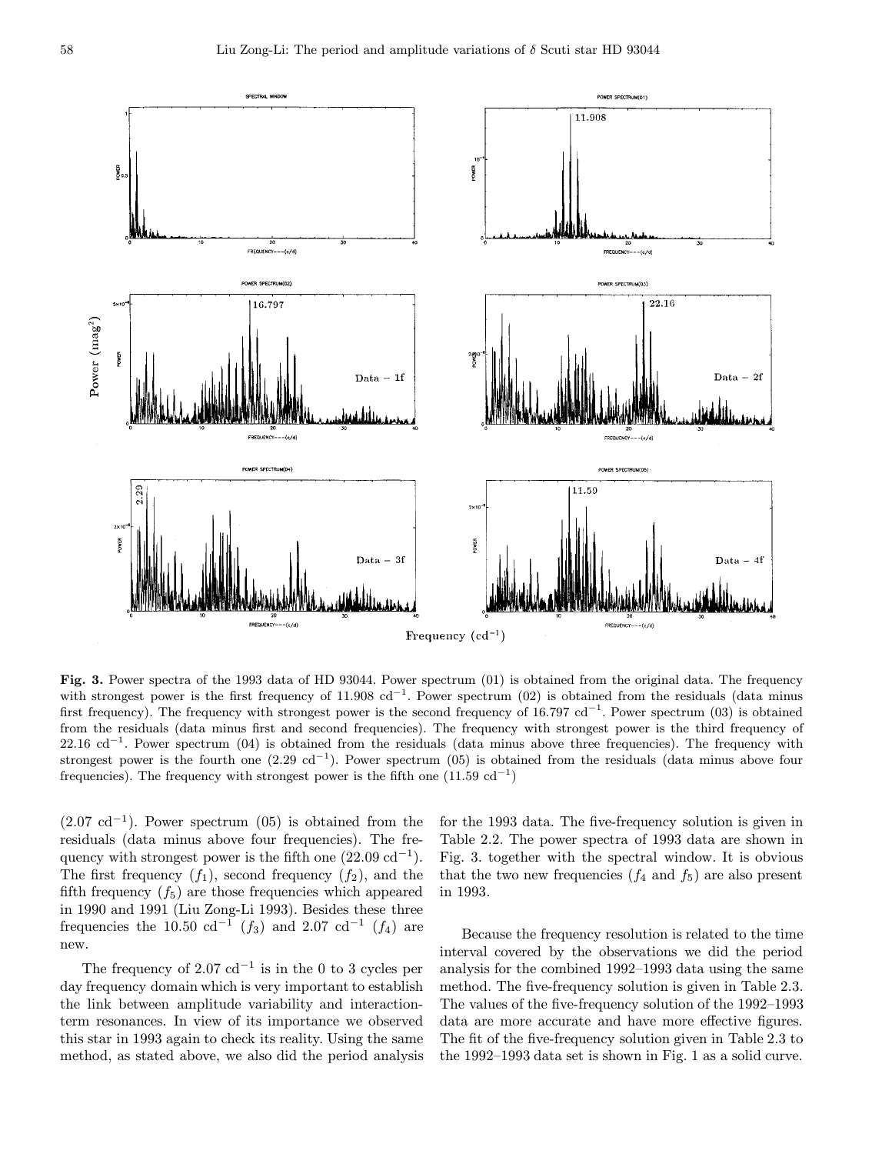

Fig. 3. Power spectra of the 1993 data of HD 93044. Power spectrum (01) is obtained from the original data. The frequency with strongest power is the first frequency of 11.908 cd<sup>-1</sup>. Power spectrum (02) is obtained from the residuals (data minus first frequency). The frequency with strongest power is the second frequency of 16.797  $\text{cd}^{-1}$ . Power spectrum (03) is obtained from the residuals (data minus first and second frequencies). The frequency with strongest power is the third frequency of  $22.16 \text{ cd}^{-1}$ . Power spectrum (04) is obtained from the residuals (data minus above three frequencies). The frequency with strongest power is the fourth one  $(2.29 \text{ cd}^{-1})$ . Power spectrum  $(05)$  is obtained from the residuals (data minus above four frequencies). The frequency with strongest power is the fifth one  $(11.59 \text{ cd}^{-1})$ 

 $(2.07 \text{ cd}^{-1})$ . Power spectrum  $(05)$  is obtained from the residuals (data minus above four frequencies). The frequency with strongest power is the fifth one  $(22.09 \text{ cd}^{-1})$ . The first frequency  $(f_1)$ , second frequency  $(f_2)$ , and the fifth frequency  $(f_5)$  are those frequencies which appeared in 1990 and 1991 (Liu Zong-Li 1993). Besides these three frequencies the 10.50 cd<sup>-1</sup> (f<sub>3</sub>) and 2.07 cd<sup>-1</sup> (f<sub>4</sub>) are new.

The frequency of 2.07 cd<sup>-1</sup> is in the 0 to 3 cycles per day frequency domain which is very important to establish the link between amplitude variability and interactionterm resonances. In view of its importance we observed this star in 1993 again to check its reality. Using the same method, as stated above, we also did the period analysis for the 1993 data. The five-frequency solution is given in Table 2.2. The power spectra of 1993 data are shown in Fig. 3. together with the spectral window. It is obvious that the two new frequencies  $(f_4 \text{ and } f_5)$  are also present in 1993.

Because the frequency resolution is related to the time interval covered by the observations we did the period analysis for the combined 1992–1993 data using the same method. The five-frequency solution is given in Table 2.3. The values of the five-frequency solution of the 1992–1993 data are more accurate and have more effective figures. The fit of the five-frequency solution given in Table 2.3 to the 1992–1993 data set is shown in Fig. 1 as a solid curve.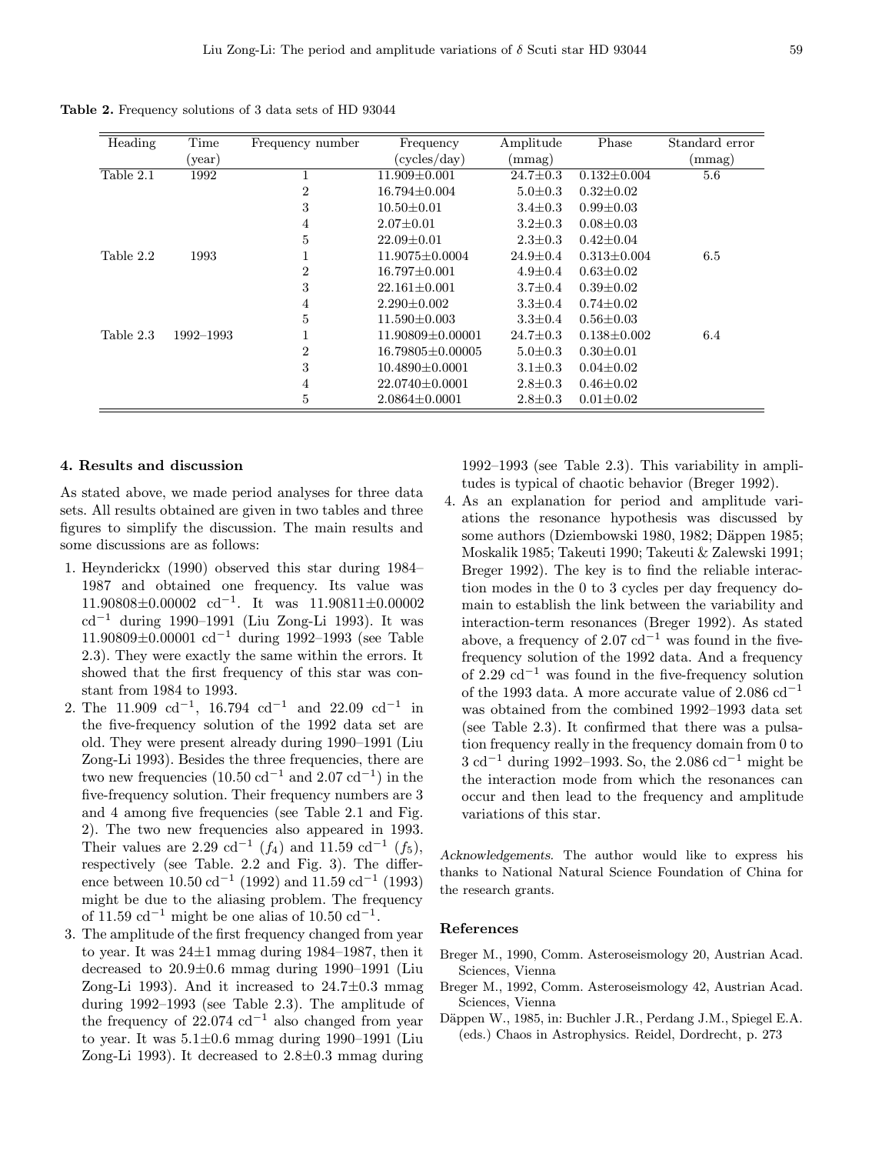Table 2. Frequency solutions of 3 data sets of HD 93044

| Heading   | Time              | Frequency number | Frequency              | Amplitude      | Phase             | Standard error |
|-----------|-------------------|------------------|------------------------|----------------|-------------------|----------------|
|           | $(\mathrm{year})$ |                  | (cycles/day)           | (mmag)         |                   | $\rm (mmag)$   |
| Table 2.1 | 1992              |                  | $11.909 \pm 0.001$     | $24.7 \pm 0.3$ | $0.132 \pm 0.004$ | 5.6            |
|           |                   | $\overline{2}$   | $16.794 \pm 0.004$     | $5.0 \pm 0.3$  | $0.32 \pm 0.02$   |                |
|           |                   | 3                | $10.50 \pm 0.01$       | $3.4 \pm 0.3$  | $0.99 \pm 0.03$   |                |
|           |                   | 4                | $2.07 \pm 0.01$        | $3.2 \pm 0.3$  | $0.08 \pm 0.03$   |                |
|           |                   | 5                | $22.09 \pm 0.01$       | $2.3 \pm 0.3$  | $0.42 \pm 0.04$   |                |
| Table 2.2 | 1993              |                  | $11.9075 \pm 0.0004$   | $24.9 \pm 0.4$ | $0.313 \pm 0.004$ | 6.5            |
|           |                   | $\overline{2}$   | $16.797 \pm 0.001$     | $4.9 \pm 0.4$  | $0.63 \pm 0.02$   |                |
|           |                   | 3                | $22.161 \pm 0.001$     | $3.7 \pm 0.4$  | $0.39 \pm 0.02$   |                |
|           |                   | 4                | $2.290 \pm 0.002$      | $3.3 \pm 0.4$  | $0.74 \pm 0.02$   |                |
|           |                   | 5                | $11.590 \pm 0.003$     | $3.3 \pm 0.4$  | $0.56 \pm 0.03$   |                |
| Table 2.3 | 1992-1993         |                  | $11.90809 \pm 0.00001$ | $24.7 \pm 0.3$ | $0.138 \pm 0.002$ | 6.4            |
|           |                   | $\overline{2}$   | 16.79805±0.00005       | $5.0 \pm 0.3$  | $0.30 \pm 0.01$   |                |
|           |                   | 3                | $10.4890 \pm 0.0001$   | $3.1 \pm 0.3$  | $0.04 \pm 0.02$   |                |
|           |                   | 4                | $22.0740 \pm 0.0001$   | $2.8 \pm 0.3$  | $0.46 \pm 0.02$   |                |
|           |                   | 5                | $2.0864 \pm 0.0001$    | $2.8 \pm 0.3$  | $0.01 \pm 0.02$   |                |

## 4. Results and discussion

As stated above, we made period analyses for three data sets. All results obtained are given in two tables and three figures to simplify the discussion. The main results and some discussions are as follows:

- 1. Heynderickx (1990) observed this star during 1984– 1987 and obtained one frequency. Its value was  $11.90808\pm0.00002$  cd<sup>-1</sup>. It was  $11.90811\pm0.00002$ cd−<sup>1</sup> during 1990–1991 (Liu Zong-Li 1993). It was 11.90809±0.00001 cd−<sup>1</sup> during 1992–1993 (see Table 2.3). They were exactly the same within the errors. It showed that the first frequency of this star was constant from 1984 to 1993.
- 2. The 11.909 cd<sup>-1</sup>, 16.794 cd<sup>-1</sup> and 22.09 cd<sup>-1</sup> in the five-frequency solution of the 1992 data set are old. They were present already during 1990–1991 (Liu Zong-Li 1993). Besides the three frequencies, there are two new frequencies (10.50 cd<sup>-1</sup> and 2.07 cd<sup>-1</sup>) in the five-frequency solution. Their frequency numbers are 3 and 4 among five frequencies (see Table 2.1 and Fig. 2). The two new frequencies also appeared in 1993. Their values are 2.29 cd<sup>-1</sup> ( $f_4$ ) and 11.59 cd<sup>-1</sup> ( $f_5$ ), respectively (see Table. 2.2 and Fig. 3). The difference between  $10.50 \text{ cd}^{-1}$  (1992) and  $11.59 \text{ cd}^{-1}$  (1993) might be due to the aliasing problem. The frequency of 11.59 cd<sup>-1</sup> might be one alias of 10.50 cd<sup>-1</sup>.
- 3. The amplitude of the first frequency changed from year to year. It was 24±1 mmag during 1984–1987, then it decreased to  $20.9\pm0.6$  mmag during 1990–1991 (Liu Zong-Li 1993). And it increased to  $24.7\pm0.3$  mmag during 1992–1993 (see Table 2.3). The amplitude of the frequency of 22.074  $\text{cd}^{-1}$  also changed from year to year. It was  $5.1\pm0.6$  mmag during 1990–1991 (Liu Zong-Li 1993). It decreased to  $2.8\pm0.3$  mmag during

1992–1993 (see Table 2.3). This variability in amplitudes is typical of chaotic behavior (Breger 1992).

4. As an explanation for period and amplitude variations the resonance hypothesis was discussed by some authors (Dziembowski 1980, 1982; Däppen 1985; Moskalik 1985; Takeuti 1990; Takeuti & Zalewski 1991; Breger 1992). The key is to find the reliable interaction modes in the 0 to 3 cycles per day frequency domain to establish the link between the variability and interaction-term resonances (Breger 1992). As stated above, a frequency of 2.07  $\text{cd}^{-1}$  was found in the fivefrequency solution of the 1992 data. And a frequency of 2.29  $\text{cd}^{-1}$  was found in the five-frequency solution of the 1993 data. A more accurate value of 2.086  $\text{cd}^{-1}$ was obtained from the combined 1992–1993 data set (see Table 2.3). It confirmed that there was a pulsation frequency really in the frequency domain from 0 to 3 cd−<sup>1</sup> during 1992–1993. So, the 2.086 cd−<sup>1</sup> might be the interaction mode from which the resonances can occur and then lead to the frequency and amplitude variations of this star.

Acknowledgements. The author would like to express his thanks to National Natural Science Foundation of China for the research grants.

#### References

- Breger M., 1990, Comm. Asteroseismology 20, Austrian Acad. Sciences, Vienna
- Breger M., 1992, Comm. Asteroseismology 42, Austrian Acad. Sciences, Vienna
- Däppen W., 1985, in: Buchler J.R., Perdang J.M., Spiegel E.A. (eds.) Chaos in Astrophysics. Reidel, Dordrecht, p. 273